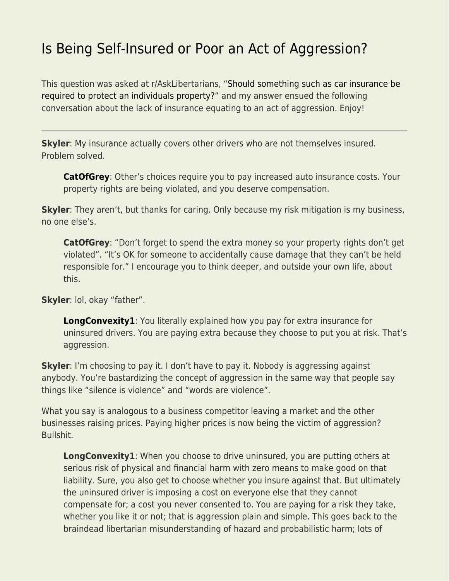# [Is Being Self-Insured or Poor an Act of Aggression?](https://everything-voluntary.com/is-being-self-insured-or-poor-an-act-of-aggression)

This question was asked at r/AskLibertarians, "[Should something such as car insurance be](https://www.reddit.com/r/AskLibertarians/comments/qj4mtq/should_something_such_as_car_insurance_be/) [required to protect an individuals property?](https://www.reddit.com/r/AskLibertarians/comments/qj4mtq/should_something_such_as_car_insurance_be/)" and my answer ensued the following conversation about the lack of insurance equating to an act of aggression. Enjoy!

**Skyler**: My insurance actually covers other drivers who are not themselves insured. Problem solved.

**[CatOfGrey](https://www.reddit.com/user/CatOfGrey/)**: Other's choices require you to pay increased auto insurance costs. Your property rights are being violated, and you deserve compensation.

**Skyler**: They aren't, but thanks for caring. Only because my risk mitigation is my business, no one else's.

**CatOfGrey**: "Don't forget to spend the extra money so your property rights don't get violated". "It's OK for someone to accidentally cause damage that they can't be held responsible for." I encourage you to think deeper, and outside your own life, about this.

**Skyler**: lol, okay "father".

**[LongConvexity1](https://www.reddit.com/user/LongConvexity1/)**: You literally explained how you pay for extra insurance for uninsured drivers. You are paying extra because they choose to put you at risk. That's aggression.

**Skyler**: I'm choosing to pay it. I don't have to pay it. Nobody is aggressing against anybody. You're bastardizing the concept of aggression in the same way that people say things like "silence is violence" and "words are violence".

What you say is analogous to a business competitor leaving a market and the other businesses raising prices. Paying higher prices is now being the victim of aggression? Bullshit.

**LongConvexity1**: When you choose to drive uninsured, you are putting others at serious risk of physical and financial harm with zero means to make good on that liability. Sure, you also get to choose whether you insure against that. But ultimately the uninsured driver is imposing a cost on everyone else that they cannot compensate for; a cost you never consented to. You are paying for a risk they take, whether you like it or not; that is aggression plain and simple. This goes back to the braindead libertarian misunderstanding of hazard and probabilistic harm; lots of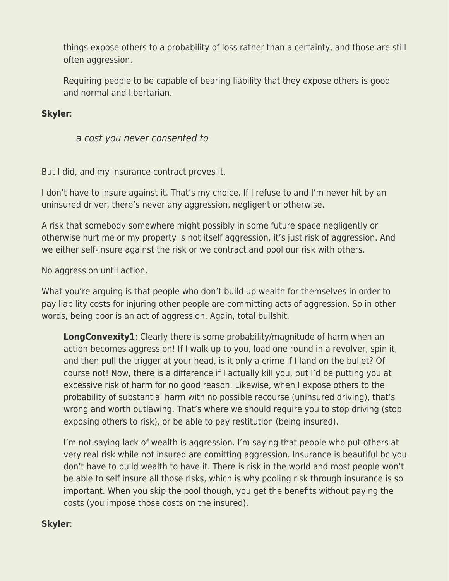things expose others to a probability of loss rather than a certainty, and those are still often aggression.

Requiring people to be capable of bearing liability that they expose others is good and normal and libertarian.

#### **Skyler**:

a cost you never consented to

But I did, and my insurance contract proves it.

I don't have to insure against it. That's my choice. If I refuse to and I'm never hit by an uninsured driver, there's never any aggression, negligent or otherwise.

A risk that somebody somewhere might possibly in some future space negligently or otherwise hurt me or my property is not itself aggression, it's just risk of aggression. And we either self-insure against the risk or we contract and pool our risk with others.

No aggression until action.

What you're arguing is that people who don't build up wealth for themselves in order to pay liability costs for injuring other people are committing acts of aggression. So in other words, being poor is an act of aggression. Again, total bullshit.

**LongConvexity1**: Clearly there is some probability/magnitude of harm when an action becomes aggression! If I walk up to you, load one round in a revolver, spin it, and then pull the trigger at your head, is it only a crime if I land on the bullet? Of course not! Now, there is a difference if I actually kill you, but I'd be putting you at excessive risk of harm for no good reason. Likewise, when I expose others to the probability of substantial harm with no possible recourse (uninsured driving), that's wrong and worth outlawing. That's where we should require you to stop driving (stop exposing others to risk), or be able to pay restitution (being insured).

I'm not saying lack of wealth is aggression. I'm saying that people who put others at very real risk while not insured are comitting aggression. Insurance is beautiful bc you don't have to build wealth to have it. There is risk in the world and most people won't be able to self insure all those risks, which is why pooling risk through insurance is so important. When you skip the pool though, you get the benefits without paying the costs (you impose those costs on the insured).

## **Skyler**: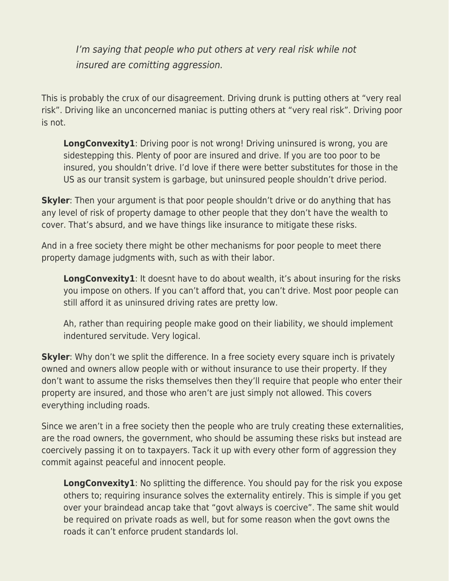I'm saying that people who put others at very real risk while not insured are comitting aggression.

This is probably the crux of our disagreement. Driving drunk is putting others at "very real risk". Driving like an unconcerned maniac is putting others at "very real risk". Driving poor is not.

**LongConvexity1**: Driving poor is not wrong! Driving uninsured is wrong, you are sidestepping this. Plenty of poor are insured and drive. If you are too poor to be insured, you shouldn't drive. I'd love if there were better substitutes for those in the US as our transit system is garbage, but uninsured people shouldn't drive period.

**Skyler**: Then your argument is that poor people shouldn't drive or do anything that has any level of risk of property damage to other people that they don't have the wealth to cover. That's absurd, and we have things like insurance to mitigate these risks.

And in a free society there might be other mechanisms for poor people to meet there property damage judgments with, such as with their labor.

**LongConvexity1**: It doesnt have to do about wealth, it's about insuring for the risks you impose on others. If you can't afford that, you can't drive. Most poor people can still afford it as uninsured driving rates are pretty low.

Ah, rather than requiring people make good on their liability, we should implement indentured servitude. Very logical.

**Skyler**: Why don't we split the difference. In a free society every square inch is privately owned and owners allow people with or without insurance to use their property. If they don't want to assume the risks themselves then they'll require that people who enter their property are insured, and those who aren't are just simply not allowed. This covers everything including roads.

Since we aren't in a free society then the people who are truly creating these externalities, are the road owners, the government, who should be assuming these risks but instead are coercively passing it on to taxpayers. Tack it up with every other form of aggression they commit against peaceful and innocent people.

**LongConvexity1**: No splitting the difference. You should pay for the risk you expose others to; requiring insurance solves the externality entirely. This is simple if you get over your braindead ancap take that "govt always is coercive". The same shit would be required on private roads as well, but for some reason when the govt owns the roads it can't enforce prudent standards lol.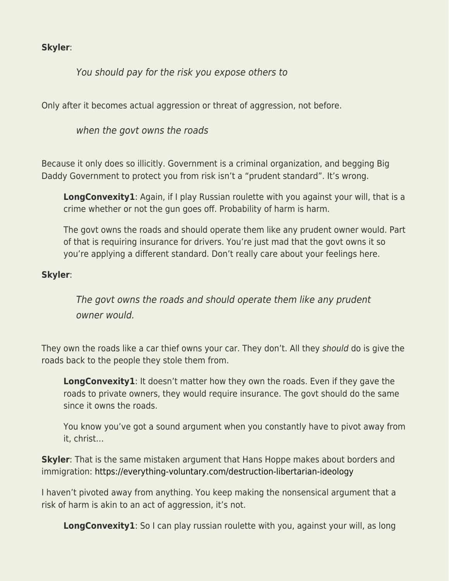## **Skyler**:

# You should pay for the risk you expose others to

Only after it becomes actual aggression or threat of aggression, not before.

when the govt owns the roads

Because it only does so illicitly. Government is a criminal organization, and begging Big Daddy Government to protect you from risk isn't a "prudent standard". It's wrong.

**LongConvexity1**: Again, if I play Russian roulette with you against your will, that is a crime whether or not the gun goes off. Probability of harm is harm.

The govt owns the roads and should operate them like any prudent owner would. Part of that is requiring insurance for drivers. You're just mad that the govt owns it so you're applying a different standard. Don't really care about your feelings here.

#### **Skyler**:

The govt owns the roads and should operate them like any prudent owner would.

They own the roads like a car thief owns your car. They don't. All they should do is give the roads back to the people they stole them from.

**LongConvexity1**: It doesn't matter how they own the roads. Even if they gave the roads to private owners, they would require insurance. The govt should do the same since it owns the roads.

You know you've got a sound argument when you constantly have to pivot away from it, christ…

**Skyler**: That is the same mistaken argument that Hans Hoppe makes about borders and immigration:<https://everything-voluntary.com/destruction-libertarian-ideology>

I haven't pivoted away from anything. You keep making the nonsensical argument that a risk of harm is akin to an act of aggression, it's not.

**LongConvexity1**: So I can play russian roulette with you, against your will, as long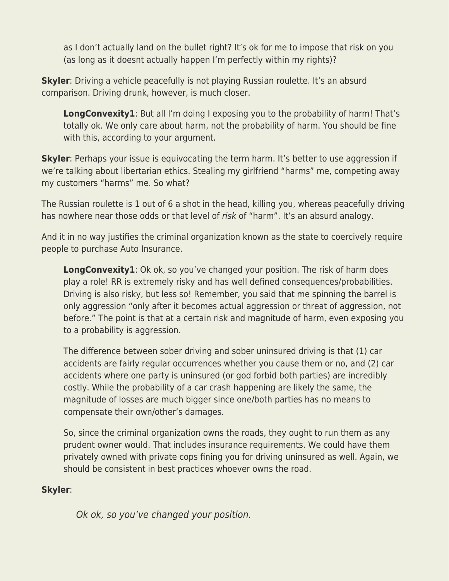as I don't actually land on the bullet right? It's ok for me to impose that risk on you (as long as it doesnt actually happen I'm perfectly within my rights)?

**Skyler**: Driving a vehicle peacefully is not playing Russian roulette. It's an absurd comparison. Driving drunk, however, is much closer.

**LongConvexity1**: But all I'm doing I exposing you to the probability of harm! That's totally ok. We only care about harm, not the probability of harm. You should be fine with this, according to your argument.

**Skyler**: Perhaps your issue is equivocating the term harm. It's better to use aggression if we're talking about libertarian ethics. Stealing my girlfriend "harms" me, competing away my customers "harms" me. So what?

The Russian roulette is 1 out of 6 a shot in the head, killing you, whereas peacefully driving has nowhere near those odds or that level of risk of "harm". It's an absurd analogy.

And it in no way justifies the criminal organization known as the state to coercively require people to purchase Auto Insurance.

**LongConvexity1**: Ok ok, so you've changed your position. The risk of harm does play a role! RR is extremely risky and has well defined consequences/probabilities. Driving is also risky, but less so! Remember, you said that me spinning the barrel is only aggression "only after it becomes actual aggression or threat of aggression, not before." The point is that at a certain risk and magnitude of harm, even exposing you to a probability is aggression.

The difference between sober driving and sober uninsured driving is that (1) car accidents are fairly regular occurrences whether you cause them or no, and (2) car accidents where one party is uninsured (or god forbid both parties) are incredibly costly. While the probability of a car crash happening are likely the same, the magnitude of losses are much bigger since one/both parties has no means to compensate their own/other's damages.

So, since the criminal organization owns the roads, they ought to run them as any prudent owner would. That includes insurance requirements. We could have them privately owned with private cops fining you for driving uninsured as well. Again, we should be consistent in best practices whoever owns the road.

## **Skyler**:

Ok ok, so you've changed your position.